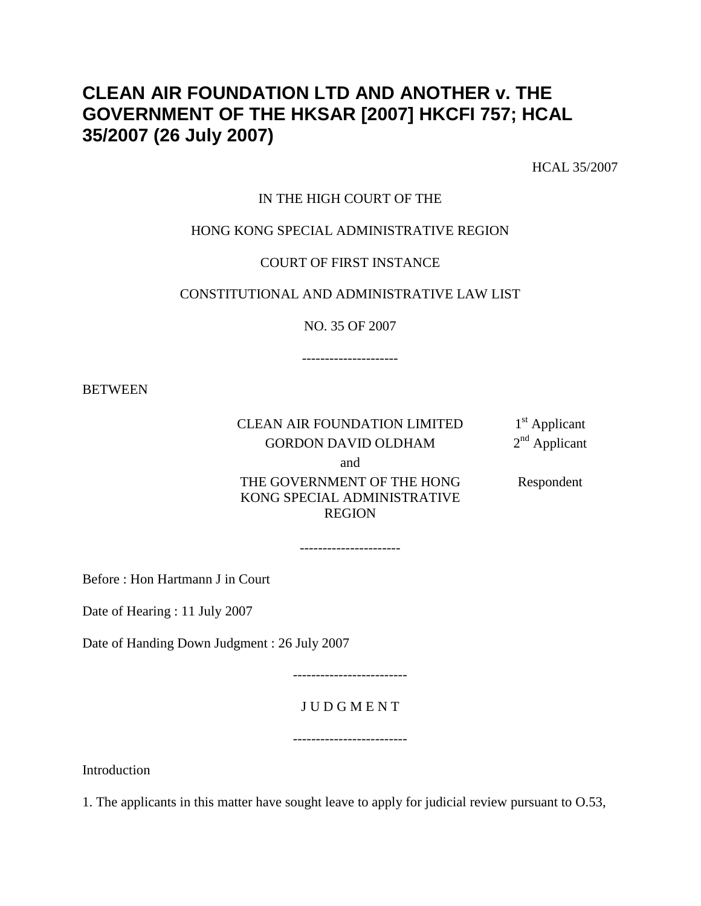# **CLEAN AIR FOUNDATION LTD AND ANOTHER v. THE GOVERNMENT OF THE HKSAR [2007] HKCFI 757; HCAL 35/2007 (26 July 2007)**

HCAL 35/2007

### IN THE HIGH COURT OF THE

### HONG KONG SPECIAL ADMINISTRATIVE REGION

### COURT OF FIRST INSTANCE

### CONSTITUTIONAL AND ADMINISTRATIVE LAW LIST

NO. 35 OF 2007

---------------------

**BETWEEN** 

## CLEAN AIR FOUNDATION LIMITED  $1<sup>st</sup>$  Applicant<br>GORDON DAVID OLDHAM  $2<sup>nd</sup>$  Applicant GORDON DAVID OLDHAM

and

 THE GOVERNMENT OF THE HONG KONG SPECIAL ADMINISTRATIVE REGION

----------------------

Respondent

Before : Hon Hartmann J in Court

Date of Hearing : 11 July 2007

Date of Handing Down Judgment : 26 July 2007

-------------------------

## J U D G M E N T

-------------------------

**Introduction** 

1. The applicants in this matter have sought leave to apply for judicial review pursuant to O.53,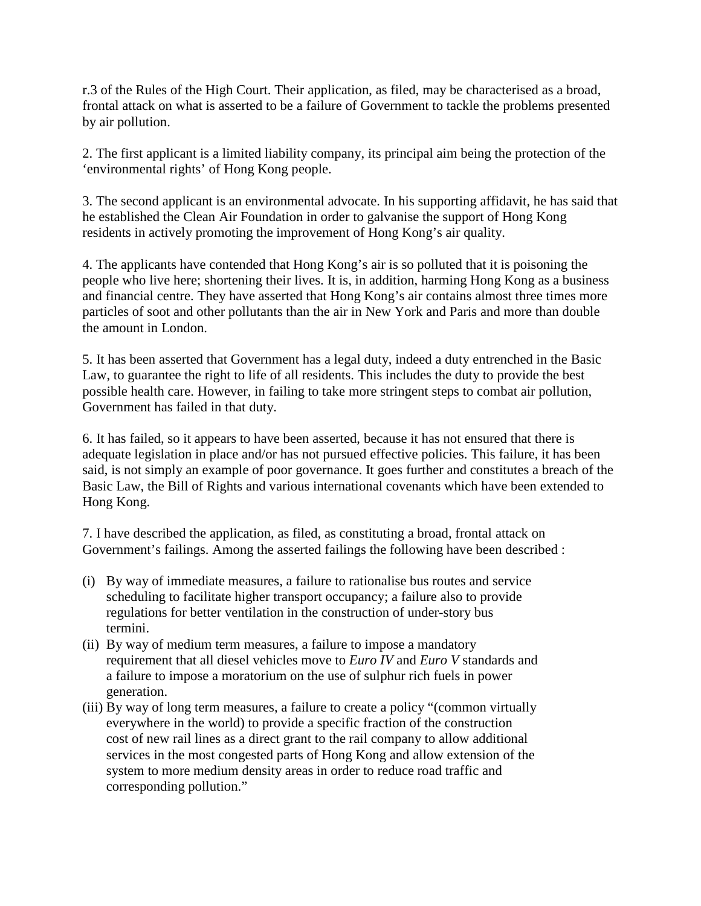r.3 of the Rules of the High Court. Their application, as filed, may be characterised as a broad, frontal attack on what is asserted to be a failure of Government to tackle the problems presented by air pollution.

2. The first applicant is a limited liability company, its principal aim being the protection of the 'environmental rights' of Hong Kong people.

3. The second applicant is an environmental advocate. In his supporting affidavit, he has said that he established the Clean Air Foundation in order to galvanise the support of Hong Kong residents in actively promoting the improvement of Hong Kong's air quality.

4. The applicants have contended that Hong Kong's air is so polluted that it is poisoning the people who live here; shortening their lives. It is, in addition, harming Hong Kong as a business and financial centre. They have asserted that Hong Kong's air contains almost three times more particles of soot and other pollutants than the air in New York and Paris and more than double the amount in London.

5. It has been asserted that Government has a legal duty, indeed a duty entrenched in the Basic Law, to guarantee the right to life of all residents. This includes the duty to provide the best possible health care. However, in failing to take more stringent steps to combat air pollution, Government has failed in that duty.

6. It has failed, so it appears to have been asserted, because it has not ensured that there is adequate legislation in place and/or has not pursued effective policies. This failure, it has been said, is not simply an example of poor governance. It goes further and constitutes a breach of the Basic Law, the Bill of Rights and various international covenants which have been extended to Hong Kong.

7. I have described the application, as filed, as constituting a broad, frontal attack on Government's failings. Among the asserted failings the following have been described :

- (i) By way of immediate measures, a failure to rationalise bus routes and service scheduling to facilitate higher transport occupancy; a failure also to provide regulations for better ventilation in the construction of under-story bus termini.
- (ii) By way of medium term measures, a failure to impose a mandatory requirement that all diesel vehicles move to *Euro IV* and *Euro V* standards and a failure to impose a moratorium on the use of sulphur rich fuels in power generation.
- (iii) By way of long term measures, a failure to create a policy "(common virtually everywhere in the world) to provide a specific fraction of the construction cost of new rail lines as a direct grant to the rail company to allow additional services in the most congested parts of Hong Kong and allow extension of the system to more medium density areas in order to reduce road traffic and corresponding pollution."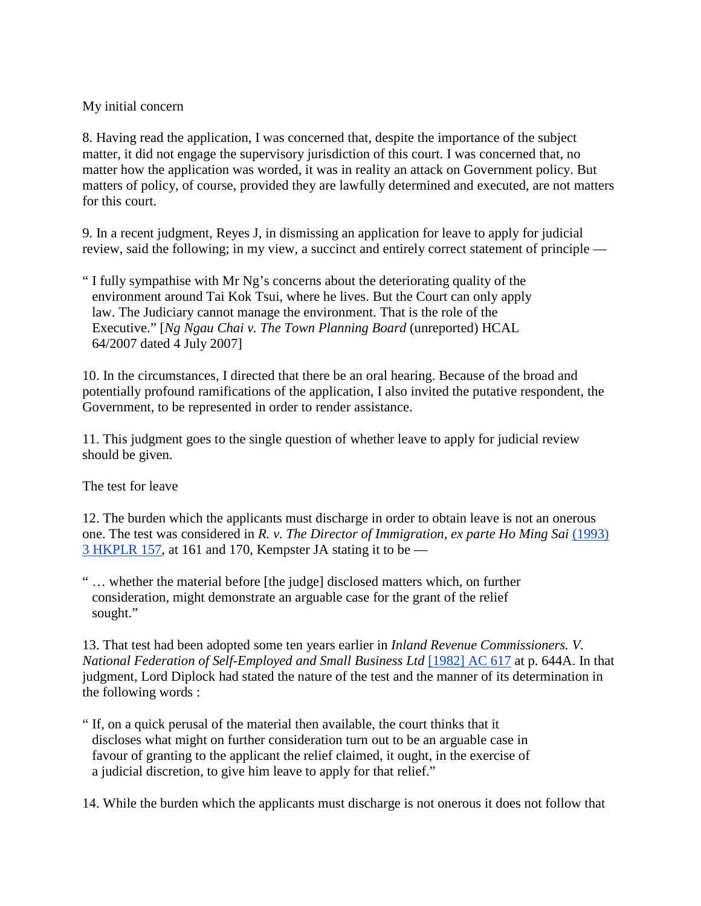## My initial concern

8. Having read the application, I was concerned that, despite the importance of the subject matter, it did not engage the supervisory jurisdiction of this court. I was concerned that, no matter how the application was worded, it was in reality an attack on Government policy. But matters of policy, of course, provided they are lawfully determined and executed, are not matters for this court.

9. In a recent judgment, Reyes J, in dismissing an application for leave to apply for judicial review, said the following; in my view, a succinct and entirely correct statement of principle —

" I fully sympathise with Mr Ng's concerns about the deteriorating quality of the environment around Tai Kok Tsui, where he lives. But the Court can only apply law. The Judiciary cannot manage the environment. That is the role of the Executive." [*Ng Ngau Chai v. The Town Planning Board* (unreported) HCAL 64/2007 dated 4 July 2007]

10. In the circumstances, I directed that there be an oral hearing. Because of the broad and potentially profound ramifications of the application, I also invited the putative respondent, the Government, to be represented in order to render assistance.

11. This judgment goes to the single question of whether leave to apply for judicial review should be given.

The test for leave

12. The burden which the applicants must discharge in order to obtain leave is not an onerous one. The test was considered in *R. v. The Director of Immigration, ex parte Ho Ming Sai* (1993) 3 HKPLR 157, at 161 and 170, Kempster JA stating it to be —

" … whether the material before [the judge] disclosed matters which, on further consideration, might demonstrate an arguable case for the grant of the relief sought."

13. That test had been adopted some ten years earlier in *Inland Revenue Commissioners. V. National Federation of Self-Employed and Small Business Ltd* [1982] AC 617 at p. 644A. In that judgment, Lord Diplock had stated the nature of the test and the manner of its determination in the following words :

" If, on a quick perusal of the material then available, the court thinks that it discloses what might on further consideration turn out to be an arguable case in favour of granting to the applicant the relief claimed, it ought, in the exercise of a judicial discretion, to give him leave to apply for that relief."

14. While the burden which the applicants must discharge is not onerous it does not follow that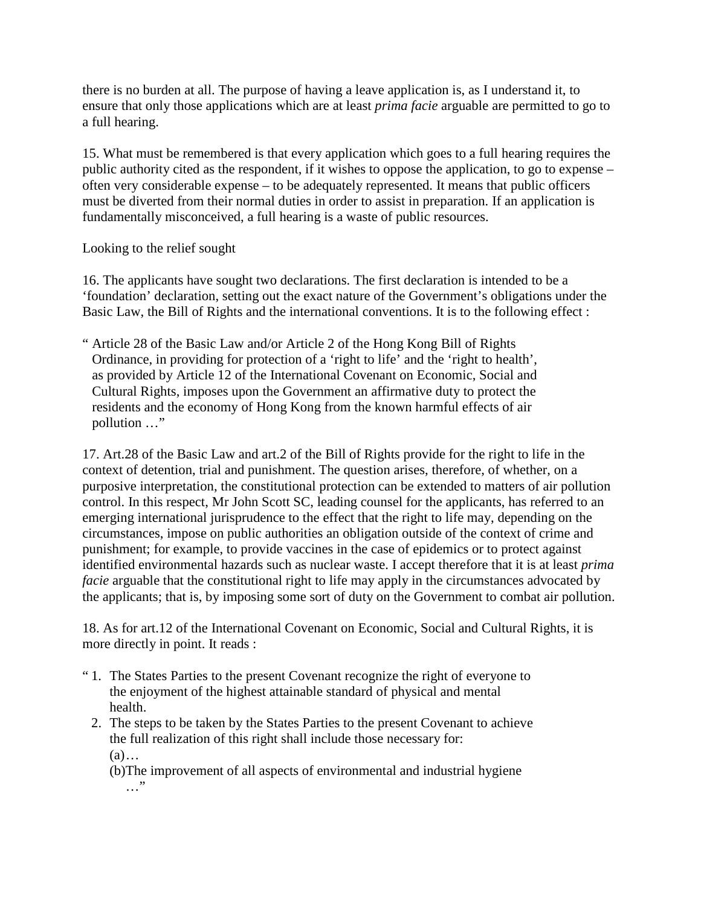there is no burden at all. The purpose of having a leave application is, as I understand it, to ensure that only those applications which are at least *prima facie* arguable are permitted to go to a full hearing.

15. What must be remembered is that every application which goes to a full hearing requires the public authority cited as the respondent, if it wishes to oppose the application, to go to expense – often very considerable expense – to be adequately represented. It means that public officers must be diverted from their normal duties in order to assist in preparation. If an application is fundamentally misconceived, a full hearing is a waste of public resources.

## Looking to the relief sought

16. The applicants have sought two declarations. The first declaration is intended to be a 'foundation' declaration, setting out the exact nature of the Government's obligations under the Basic Law, the Bill of Rights and the international conventions. It is to the following effect :

" Article 28 of the Basic Law and/or Article 2 of the Hong Kong Bill of Rights Ordinance, in providing for protection of a 'right to life' and the 'right to health', as provided by Article 12 of the International Covenant on Economic, Social and Cultural Rights, imposes upon the Government an affirmative duty to protect the residents and the economy of Hong Kong from the known harmful effects of air pollution …"

17. Art.28 of the Basic Law and art.2 of the Bill of Rights provide for the right to life in the context of detention, trial and punishment. The question arises, therefore, of whether, on a purposive interpretation, the constitutional protection can be extended to matters of air pollution control. In this respect, Mr John Scott SC, leading counsel for the applicants, has referred to an emerging international jurisprudence to the effect that the right to life may, depending on the circumstances, impose on public authorities an obligation outside of the context of crime and punishment; for example, to provide vaccines in the case of epidemics or to protect against identified environmental hazards such as nuclear waste. I accept therefore that it is at least *prima facie* arguable that the constitutional right to life may apply in the circumstances advocated by the applicants; that is, by imposing some sort of duty on the Government to combat air pollution.

18. As for art.12 of the International Covenant on Economic, Social and Cultural Rights, it is more directly in point. It reads :

- " 1. The States Parties to the present Covenant recognize the right of everyone to the enjoyment of the highest attainable standard of physical and mental health.
	- 2. The steps to be taken by the States Parties to the present Covenant to achieve the full realization of this right shall include those necessary for: (a)…

 (b)The improvement of all aspects of environmental and industrial hygiene …"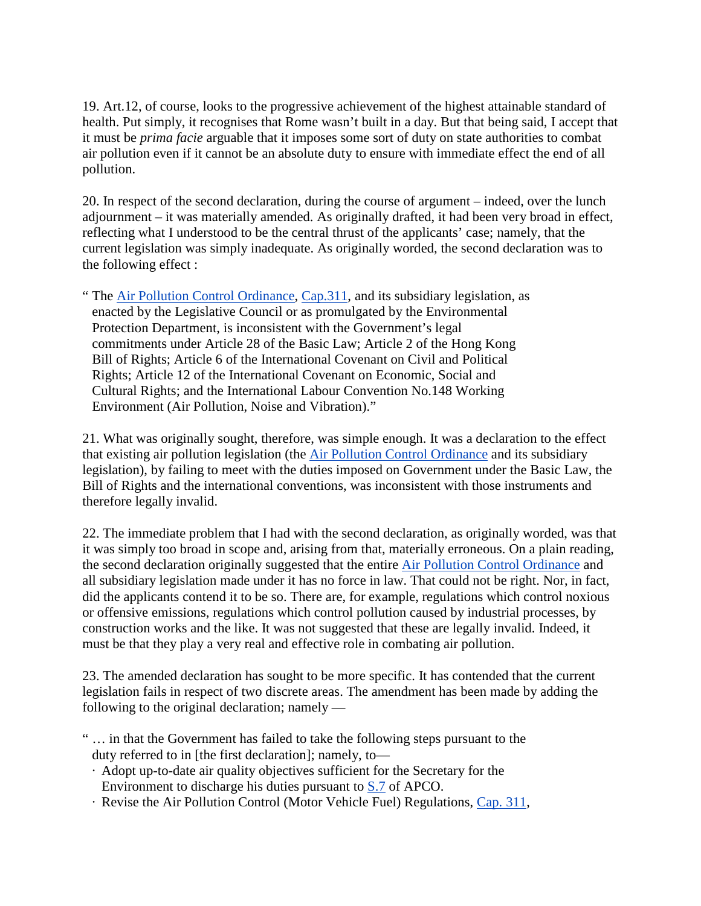19. Art.12, of course, looks to the progressive achievement of the highest attainable standard of health. Put simply, it recognises that Rome wasn't built in a day. But that being said, I accept that it must be *prima facie* arguable that it imposes some sort of duty on state authorities to combat air pollution even if it cannot be an absolute duty to ensure with immediate effect the end of all pollution.

20. In respect of the second declaration, during the course of argument – indeed, over the lunch adjournment – it was materially amended. As originally drafted, it had been very broad in effect, reflecting what I understood to be the central thrust of the applicants' case; namely, that the current legislation was simply inadequate. As originally worded, the second declaration was to the following effect :

" The Air Pollution Control Ordinance, Cap.311, and its subsidiary legislation, as enacted by the Legislative Council or as promulgated by the Environmental Protection Department, is inconsistent with the Government's legal commitments under Article 28 of the Basic Law; Article 2 of the Hong Kong Bill of Rights; Article 6 of the International Covenant on Civil and Political Rights; Article 12 of the International Covenant on Economic, Social and Cultural Rights; and the International Labour Convention No.148 Working Environment (Air Pollution, Noise and Vibration)."

21. What was originally sought, therefore, was simple enough. It was a declaration to the effect that existing air pollution legislation (the Air Pollution Control Ordinance and its subsidiary legislation), by failing to meet with the duties imposed on Government under the Basic Law, the Bill of Rights and the international conventions, was inconsistent with those instruments and therefore legally invalid.

22. The immediate problem that I had with the second declaration, as originally worded, was that it was simply too broad in scope and, arising from that, materially erroneous. On a plain reading, the second declaration originally suggested that the entire Air Pollution Control Ordinance and all subsidiary legislation made under it has no force in law. That could not be right. Nor, in fact, did the applicants contend it to be so. There are, for example, regulations which control noxious or offensive emissions, regulations which control pollution caused by industrial processes, by construction works and the like. It was not suggested that these are legally invalid. Indeed, it must be that they play a very real and effective role in combating air pollution.

23. The amended declaration has sought to be more specific. It has contended that the current legislation fails in respect of two discrete areas. The amendment has been made by adding the following to the original declaration; namely —

- " … in that the Government has failed to take the following steps pursuant to the duty referred to in [the first declaration]; namely, to—
	- · Adopt up-to-date air quality objectives sufficient for the Secretary for the Environment to discharge his duties pursuant to S.7 of APCO.
	- · Revise the Air Pollution Control (Motor Vehicle Fuel) Regulations, Cap. 311,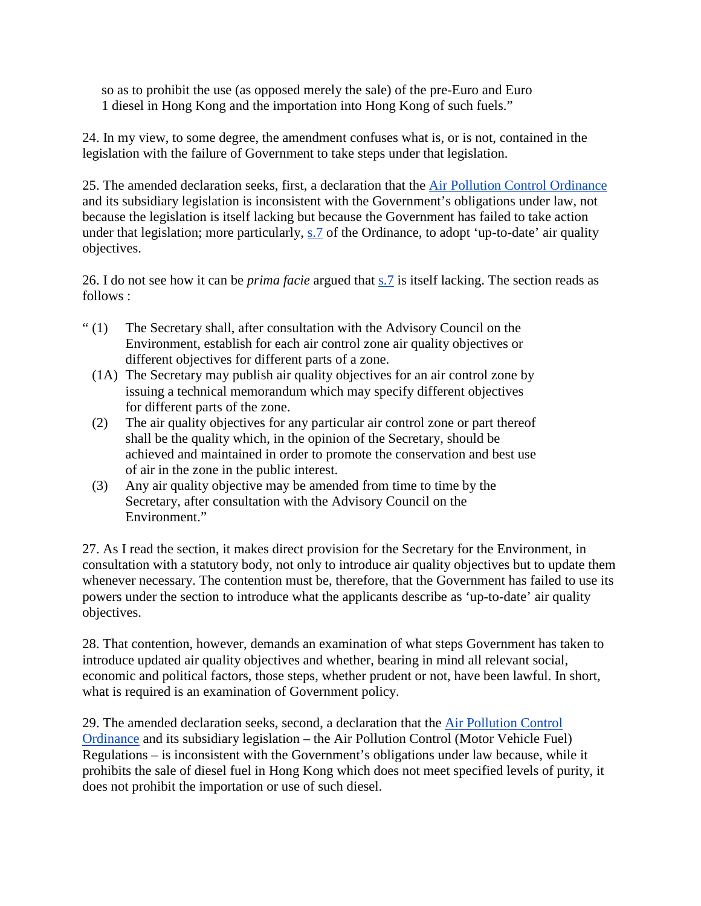so as to prohibit the use (as opposed merely the sale) of the pre-Euro and Euro 1 diesel in Hong Kong and the importation into Hong Kong of such fuels."

24. In my view, to some degree, the amendment confuses what is, or is not, contained in the legislation with the failure of Government to take steps under that legislation.

25. The amended declaration seeks, first, a declaration that the Air Pollution Control Ordinance and its subsidiary legislation is inconsistent with the Government's obligations under law, not because the legislation is itself lacking but because the Government has failed to take action under that legislation; more particularly, s.7 of the Ordinance, to adopt 'up-to-date' air quality objectives.

26. I do not see how it can be *prima facie* argued that s.7 is itself lacking. The section reads as follows :

- " (1) The Secretary shall, after consultation with the Advisory Council on the Environment, establish for each air control zone air quality objectives or different objectives for different parts of a zone.
	- (1A) The Secretary may publish air quality objectives for an air control zone by issuing a technical memorandum which may specify different objectives for different parts of the zone.
	- (2) The air quality objectives for any particular air control zone or part thereof shall be the quality which, in the opinion of the Secretary, should be achieved and maintained in order to promote the conservation and best use of air in the zone in the public interest.
	- (3) Any air quality objective may be amended from time to time by the Secretary, after consultation with the Advisory Council on the Environment."

27. As I read the section, it makes direct provision for the Secretary for the Environment, in consultation with a statutory body, not only to introduce air quality objectives but to update them whenever necessary. The contention must be, therefore, that the Government has failed to use its powers under the section to introduce what the applicants describe as 'up-to-date' air quality objectives.

28. That contention, however, demands an examination of what steps Government has taken to introduce updated air quality objectives and whether, bearing in mind all relevant social, economic and political factors, those steps, whether prudent or not, have been lawful. In short, what is required is an examination of Government policy.

29. The amended declaration seeks, second, a declaration that the Air Pollution Control Ordinance and its subsidiary legislation – the Air Pollution Control (Motor Vehicle Fuel) Regulations – is inconsistent with the Government's obligations under law because, while it prohibits the sale of diesel fuel in Hong Kong which does not meet specified levels of purity, it does not prohibit the importation or use of such diesel.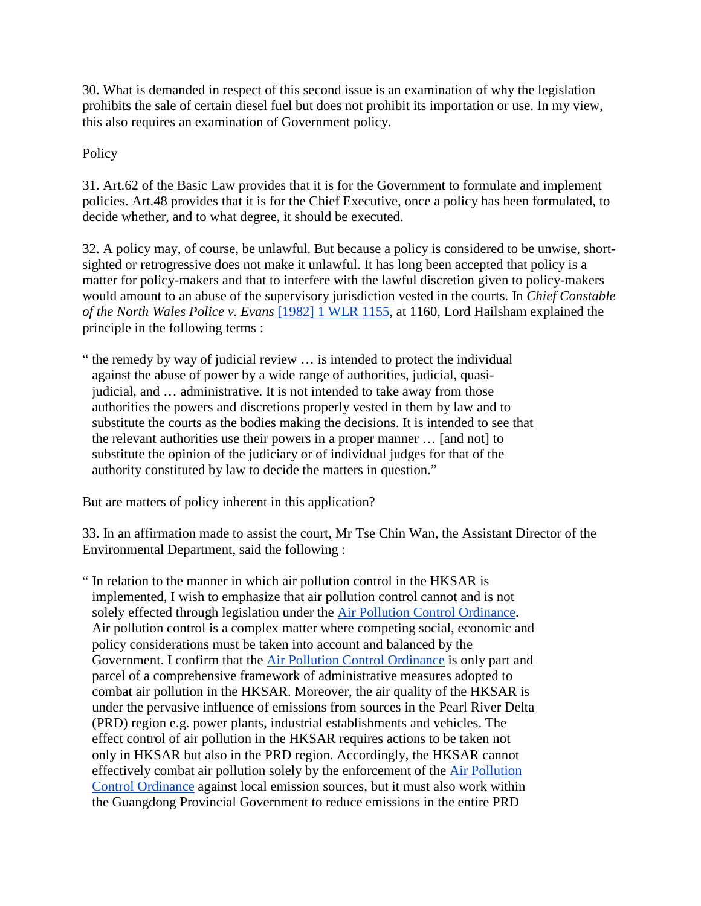30. What is demanded in respect of this second issue is an examination of why the legislation prohibits the sale of certain diesel fuel but does not prohibit its importation or use. In my view, this also requires an examination of Government policy.

**Policy** 

31. Art.62 of the Basic Law provides that it is for the Government to formulate and implement policies. Art.48 provides that it is for the Chief Executive, once a policy has been formulated, to decide whether, and to what degree, it should be executed.

32. A policy may, of course, be unlawful. But because a policy is considered to be unwise, shortsighted or retrogressive does not make it unlawful. It has long been accepted that policy is a matter for policy-makers and that to interfere with the lawful discretion given to policy-makers would amount to an abuse of the supervisory jurisdiction vested in the courts. In *Chief Constable of the North Wales Police v. Evans* [1982] 1 WLR 1155, at 1160, Lord Hailsham explained the principle in the following terms :

" the remedy by way of judicial review … is intended to protect the individual against the abuse of power by a wide range of authorities, judicial, quasijudicial, and … administrative. It is not intended to take away from those authorities the powers and discretions properly vested in them by law and to substitute the courts as the bodies making the decisions. It is intended to see that the relevant authorities use their powers in a proper manner … [and not] to substitute the opinion of the judiciary or of individual judges for that of the authority constituted by law to decide the matters in question."

But are matters of policy inherent in this application?

33. In an affirmation made to assist the court, Mr Tse Chin Wan, the Assistant Director of the Environmental Department, said the following :

" In relation to the manner in which air pollution control in the HKSAR is implemented, I wish to emphasize that air pollution control cannot and is not solely effected through legislation under the Air Pollution Control Ordinance. Air pollution control is a complex matter where competing social, economic and policy considerations must be taken into account and balanced by the Government. I confirm that the Air Pollution Control Ordinance is only part and parcel of a comprehensive framework of administrative measures adopted to combat air pollution in the HKSAR. Moreover, the air quality of the HKSAR is under the pervasive influence of emissions from sources in the Pearl River Delta (PRD) region e.g. power plants, industrial establishments and vehicles. The effect control of air pollution in the HKSAR requires actions to be taken not only in HKSAR but also in the PRD region. Accordingly, the HKSAR cannot effectively combat air pollution solely by the enforcement of the Air Pollution Control Ordinance against local emission sources, but it must also work within the Guangdong Provincial Government to reduce emissions in the entire PRD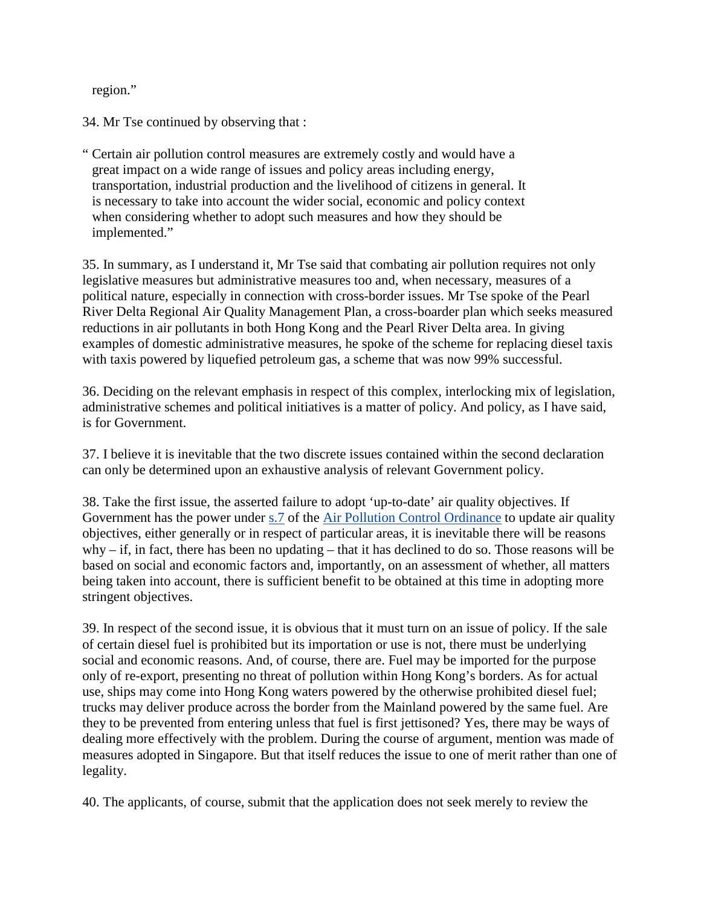region."

34. Mr Tse continued by observing that :

" Certain air pollution control measures are extremely costly and would have a great impact on a wide range of issues and policy areas including energy, transportation, industrial production and the livelihood of citizens in general. It is necessary to take into account the wider social, economic and policy context when considering whether to adopt such measures and how they should be implemented."

35. In summary, as I understand it, Mr Tse said that combating air pollution requires not only legislative measures but administrative measures too and, when necessary, measures of a political nature, especially in connection with cross-border issues. Mr Tse spoke of the Pearl River Delta Regional Air Quality Management Plan, a cross-boarder plan which seeks measured reductions in air pollutants in both Hong Kong and the Pearl River Delta area. In giving examples of domestic administrative measures, he spoke of the scheme for replacing diesel taxis with taxis powered by liquefied petroleum gas, a scheme that was now 99% successful.

36. Deciding on the relevant emphasis in respect of this complex, interlocking mix of legislation, administrative schemes and political initiatives is a matter of policy. And policy, as I have said, is for Government.

37. I believe it is inevitable that the two discrete issues contained within the second declaration can only be determined upon an exhaustive analysis of relevant Government policy.

38. Take the first issue, the asserted failure to adopt 'up-to-date' air quality objectives. If Government has the power under s.7 of the Air Pollution Control Ordinance to update air quality objectives, either generally or in respect of particular areas, it is inevitable there will be reasons why – if, in fact, there has been no updating – that it has declined to do so. Those reasons will be based on social and economic factors and, importantly, on an assessment of whether, all matters being taken into account, there is sufficient benefit to be obtained at this time in adopting more stringent objectives.

39. In respect of the second issue, it is obvious that it must turn on an issue of policy. If the sale of certain diesel fuel is prohibited but its importation or use is not, there must be underlying social and economic reasons. And, of course, there are. Fuel may be imported for the purpose only of re-export, presenting no threat of pollution within Hong Kong's borders. As for actual use, ships may come into Hong Kong waters powered by the otherwise prohibited diesel fuel; trucks may deliver produce across the border from the Mainland powered by the same fuel. Are they to be prevented from entering unless that fuel is first jettisoned? Yes, there may be ways of dealing more effectively with the problem. During the course of argument, mention was made of measures adopted in Singapore. But that itself reduces the issue to one of merit rather than one of legality.

40. The applicants, of course, submit that the application does not seek merely to review the